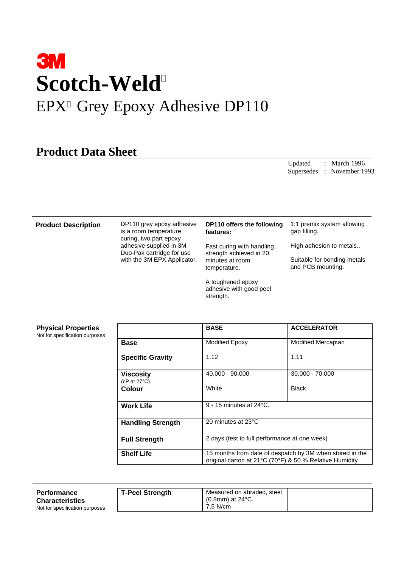# **3M Scotch-Weld** EPX<sup>™</sup> Grey Epoxy Adhesive DP110

## **Product Data Sheet**

Updated : March 1996 Supersedes : November 1993

**Product Description** DP110 grey epoxy adhesive is a room temperature curing, two part epoxy adhesive supplied in 3M Duo-Pak cartridge for use with the 3M EPX Applicator.

#### **DP110 offers the following features:**

Fast curing with handling strength achieved in 20 minutes at room temperature.

A toughened epoxy adhesive with good peel strength.

1:1 premix system allowing gap filling.

High adhesion to metals..

Suitable for bonding metals

and PCB mounting.

### **Physical Properties**

 $\Gamma$ 

Not for specification purposes

|                                     | <b>BASE</b>                                                                                                         | <b>ACCELERATOR</b> |  |  |  |
|-------------------------------------|---------------------------------------------------------------------------------------------------------------------|--------------------|--|--|--|
| Base                                | <b>Modified Epoxy</b>                                                                                               | Modified Mercaptan |  |  |  |
| <b>Specific Gravity</b>             | 1.12                                                                                                                | 1.11               |  |  |  |
| Viscosity<br>(cP at $27^{\circ}$ C) | 40,000 - 90,000                                                                                                     | 30,000 - 70,000    |  |  |  |
| <b>Colour</b>                       | White                                                                                                               | <b>Black</b>       |  |  |  |
| <b>Work Life</b>                    | $9 - 15$ minutes at $24^{\circ}$ C.                                                                                 |                    |  |  |  |
| <b>Handling Strength</b>            | 20 minutes at 23°C                                                                                                  |                    |  |  |  |
| <b>Full Strength</b>                | 2 days (test to full performance at one week)                                                                       |                    |  |  |  |
| <b>Shelf Life</b>                   | 15 months from date of despatch by 3M when stored in the<br>original carton at 21°C (70°F) & 50 % Relative Humidity |                    |  |  |  |

| <b>Performance</b><br><b>Characteristics</b> | <b>T-Peel Strength</b> | Measured on abraded, steel<br>$(0.8$ mm) at 24 $^{\circ}$ C. |  |
|----------------------------------------------|------------------------|--------------------------------------------------------------|--|
| Not for specification purposes               |                        | 7.5 N/cm                                                     |  |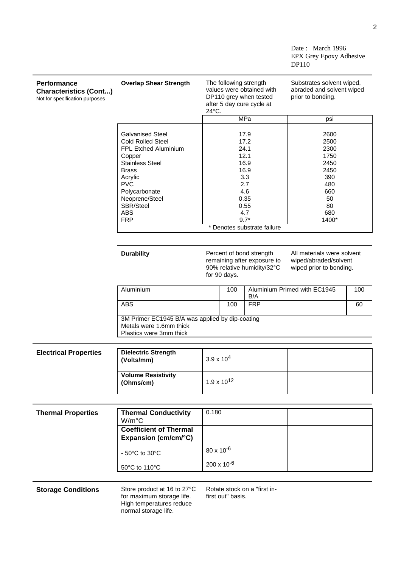Date: March 1996 EPX Grey Epoxy Adhesive DP110

| <b>Performance</b><br><b>Characteristics (Cont)</b><br>Not for specification purposes | <b>Overlap Shear Strength</b>                                                                         | The following strength<br>values were obtained with<br>DP110 grey when tested<br>after 5 day cure cycle at<br>24°C. |                                 | Substrates solvent wiped,<br>abraded and solvent wiped<br>prior to bonding.    |                             |                              |     |
|---------------------------------------------------------------------------------------|-------------------------------------------------------------------------------------------------------|---------------------------------------------------------------------------------------------------------------------|---------------------------------|--------------------------------------------------------------------------------|-----------------------------|------------------------------|-----|
|                                                                                       |                                                                                                       |                                                                                                                     | <b>MPa</b>                      |                                                                                | psi                         |                              |     |
|                                                                                       |                                                                                                       |                                                                                                                     |                                 |                                                                                |                             |                              |     |
|                                                                                       | <b>Galvanised Steel</b><br><b>Cold Rolled Steel</b>                                                   |                                                                                                                     | 17.9<br>17.2                    |                                                                                |                             | 2600<br>2500                 |     |
|                                                                                       | FPL Etched Aluminium<br>Copper                                                                        |                                                                                                                     | 24.1<br>12.1                    |                                                                                |                             | 2300<br>1750                 |     |
|                                                                                       | <b>Stainless Steel</b>                                                                                |                                                                                                                     | 16.9                            |                                                                                | 2450                        |                              |     |
|                                                                                       | <b>Brass</b>                                                                                          |                                                                                                                     | 16.9                            |                                                                                |                             | 2450                         |     |
|                                                                                       | Acrylic                                                                                               |                                                                                                                     |                                 | 3.3                                                                            |                             | 390                          |     |
|                                                                                       | <b>PVC</b>                                                                                            |                                                                                                                     |                                 | 2.7                                                                            |                             | 480                          |     |
|                                                                                       | Polycarbonate                                                                                         |                                                                                                                     | 4.6<br>0.35                     |                                                                                |                             | 660                          |     |
|                                                                                       | Neoprene/Steel                                                                                        |                                                                                                                     |                                 |                                                                                |                             | 50                           |     |
|                                                                                       | SBR/Steel                                                                                             |                                                                                                                     |                                 | 0.55                                                                           |                             | 80                           |     |
|                                                                                       | <b>ABS</b>                                                                                            |                                                                                                                     |                                 | 4.7                                                                            |                             | 680                          |     |
|                                                                                       | <b>FRP</b>                                                                                            |                                                                                                                     | $9.7*$                          |                                                                                |                             | 1400*                        |     |
|                                                                                       |                                                                                                       |                                                                                                                     |                                 |                                                                                | * Denotes substrate failure |                              |     |
|                                                                                       |                                                                                                       |                                                                                                                     |                                 |                                                                                |                             |                              |     |
|                                                                                       | <b>Durability</b>                                                                                     | Percent of bond strength<br>remaining after exposure to<br>90% relative humidity/32°C                               |                                 | All materials were solvent<br>wiped/abraded/solvent<br>wiped prior to bonding. |                             |                              |     |
|                                                                                       | for 90 days.                                                                                          |                                                                                                                     |                                 |                                                                                |                             |                              |     |
|                                                                                       | Aluminium<br><b>ABS</b>                                                                               |                                                                                                                     | 100<br>B/A<br><b>FRP</b><br>100 |                                                                                |                             | Aluminium Primed with EC1945 | 100 |
|                                                                                       |                                                                                                       |                                                                                                                     |                                 |                                                                                |                             |                              | 60  |
|                                                                                       | 3M Primer EC1945 B/A was applied by dip-coating<br>Metals were 1.6mm thick<br>Plastics were 3mm thick |                                                                                                                     |                                 |                                                                                |                             |                              |     |
|                                                                                       |                                                                                                       |                                                                                                                     |                                 |                                                                                |                             |                              |     |
| <b>Electrical Properties</b>                                                          | <b>Dielectric Strength</b><br>$3.9 \times 10^{4}$<br>(Volts/mm)                                       |                                                                                                                     |                                 |                                                                                |                             |                              |     |
|                                                                                       |                                                                                                       |                                                                                                                     |                                 |                                                                                |                             |                              |     |
|                                                                                       | <b>Volume Resistivity</b><br>(Ohms/cm)                                                                |                                                                                                                     | $1.9 \times 10^{12}$            |                                                                                |                             |                              |     |
|                                                                                       |                                                                                                       |                                                                                                                     |                                 |                                                                                |                             |                              |     |
| <b>Thermal Properties</b>                                                             | <b>Thermal Conductivity</b>                                                                           | 0.180                                                                                                               |                                 |                                                                                |                             |                              |     |
|                                                                                       | W/m°C                                                                                                 |                                                                                                                     |                                 |                                                                                |                             |                              |     |
|                                                                                       | <b>Coefficient of Thermal</b>                                                                         |                                                                                                                     |                                 |                                                                                |                             |                              |     |
|                                                                                       | Expansion (cm/cm/°C)                                                                                  |                                                                                                                     |                                 |                                                                                |                             |                              |     |
|                                                                                       | - 50°C to 30°C                                                                                        | $80 \times 10^{-6}$                                                                                                 |                                 |                                                                                |                             |                              |     |
|                                                                                       | 50°C to 110°C                                                                                         | $200 \times 10^{-6}$                                                                                                |                                 |                                                                                |                             |                              |     |
|                                                                                       |                                                                                                       |                                                                                                                     |                                 |                                                                                |                             |                              |     |
| <b>Storage Conditions</b>                                                             | Store product at 16 to 27°C<br>for maximum storage life.<br>High temperatures reduce                  | Rotate stock on a "first in-<br>first out" basis.                                                                   |                                 |                                                                                |                             |                              |     |

normal storage life.